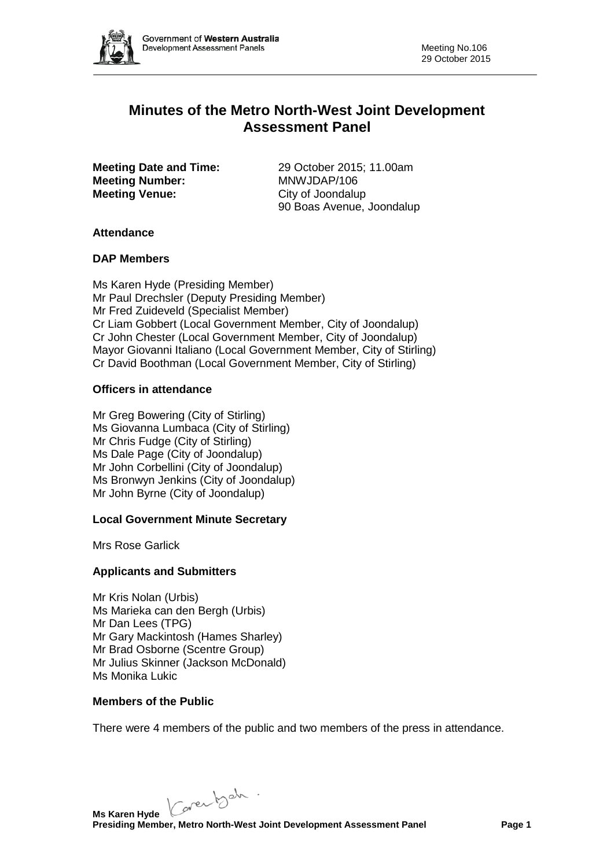

# **Minutes of the Metro North-West Joint Development Assessment Panel**

**Meeting Number: Meeting Venue:** City of Joondalup

**Meeting Date and Time:** 29 October 2015; 11.00am<br> **MRWJDAP/106** 90 Boas Avenue, Joondalup

## **Attendance**

## **DAP Members**

Ms Karen Hyde (Presiding Member) Mr Paul Drechsler (Deputy Presiding Member) Mr Fred Zuideveld (Specialist Member) Cr Liam Gobbert (Local Government Member, City of Joondalup) Cr John Chester (Local Government Member, City of Joondalup) Mayor Giovanni Italiano (Local Government Member, City of Stirling) Cr David Boothman (Local Government Member, City of Stirling)

## **Officers in attendance**

Mr Greg Bowering (City of Stirling) Ms Giovanna Lumbaca (City of Stirling) Mr Chris Fudge (City of Stirling) Ms Dale Page (City of Joondalup) Mr John Corbellini (City of Joondalup) Ms Bronwyn Jenkins (City of Joondalup) Mr John Byrne (City of Joondalup)

## **Local Government Minute Secretary**

Mrs Rose Garlick

## **Applicants and Submitters**

Mr Kris Nolan (Urbis) Ms Marieka can den Bergh (Urbis) Mr Dan Lees (TPG) Mr Gary Mackintosh (Hames Sharley) Mr Brad Osborne (Scentre Group) Mr Julius Skinner (Jackson McDonald) Ms Monika Lukic

## **Members of the Public**

There were 4 members of the public and two members of the press in attendance.

Karenbeh.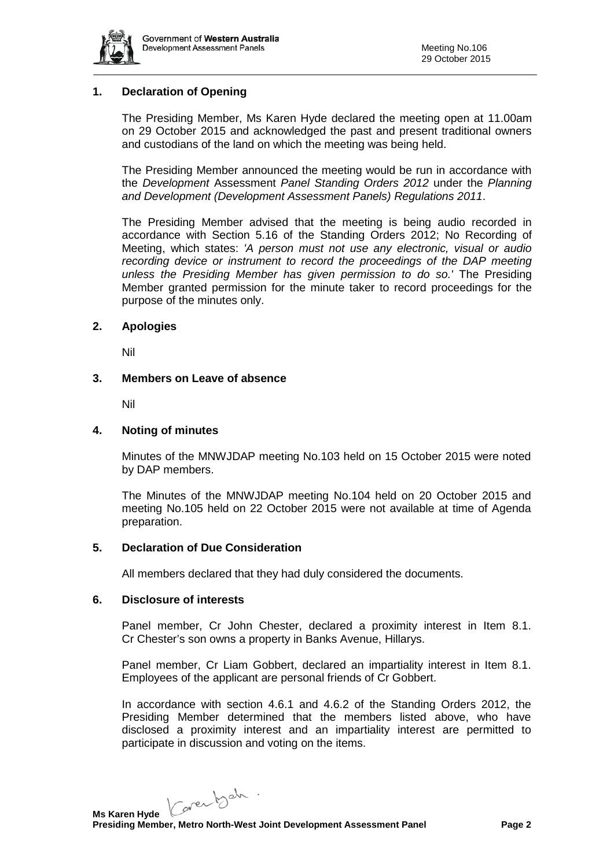

## **1. Declaration of Opening**

The Presiding Member, Ms Karen Hyde declared the meeting open at 11.00am on 29 October 2015 and acknowledged the past and present traditional owners and custodians of the land on which the meeting was being held.

The Presiding Member announced the meeting would be run in accordance with the *Development* Assessment *Panel Standing Orders 2012* under the *Planning and Development (Development Assessment Panels) Regulations 2011*.

The Presiding Member advised that the meeting is being audio recorded in accordance with Section 5.16 of the Standing Orders 2012; No Recording of Meeting, which states: *'A person must not use any electronic, visual or audio recording device or instrument to record the proceedings of the DAP meeting unless the Presiding Member has given permission to do so.'* The Presiding Member granted permission for the minute taker to record proceedings for the purpose of the minutes only.

### **2. Apologies**

Nil

### **3. Members on Leave of absence**

Nil

### **4. Noting of minutes**

Minutes of the MNWJDAP meeting No.103 held on 15 October 2015 were noted by DAP members.

The Minutes of the MNWJDAP meeting No.104 held on 20 October 2015 and meeting No.105 held on 22 October 2015 were not available at time of Agenda preparation.

### **5. Declaration of Due Consideration**

All members declared that they had duly considered the documents.

### **6. Disclosure of interests**

Panel member, Cr John Chester, declared a proximity interest in Item 8.1. Cr Chester's son owns a property in Banks Avenue, Hillarys.

Panel member, Cr Liam Gobbert, declared an impartiality interest in Item 8.1. Employees of the applicant are personal friends of Cr Gobbert.

In accordance with section 4.6.1 and 4.6.2 of the Standing Orders 2012, the Presiding Member determined that the members listed above, who have disclosed a proximity interest and an impartiality interest are permitted to participate in discussion and voting on the items.

Karenbeh.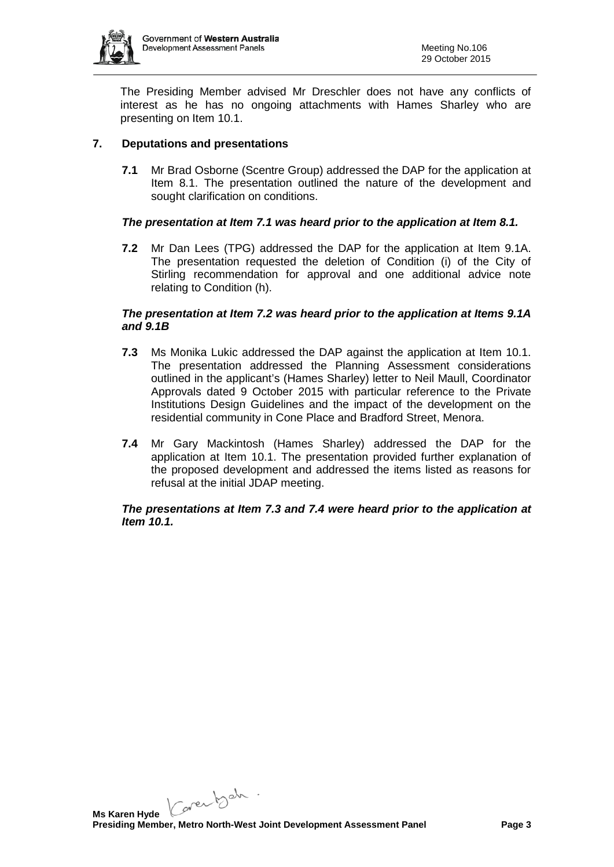

The Presiding Member advised Mr Dreschler does not have any conflicts of interest as he has no ongoing attachments with Hames Sharley who are presenting on Item 10.1.

## **7. Deputations and presentations**

**7.1** Mr Brad Osborne (Scentre Group) addressed the DAP for the application at Item 8.1. The presentation outlined the nature of the development and sought clarification on conditions.

## *The presentation at Item 7.1 was heard prior to the application at Item 8.1.*

**7.2** Mr Dan Lees (TPG) addressed the DAP for the application at Item 9.1A. The presentation requested the deletion of Condition (i) of the City of Stirling recommendation for approval and one additional advice note relating to Condition (h).

### *The presentation at Item 7.2 was heard prior to the application at Items 9.1A and 9.1B*

- **7.3** Ms Monika Lukic addressed the DAP against the application at Item 10.1. The presentation addressed the Planning Assessment considerations outlined in the applicant's (Hames Sharley) letter to Neil Maull, Coordinator Approvals dated 9 October 2015 with particular reference to the Private Institutions Design Guidelines and the impact of the development on the residential community in Cone Place and Bradford Street, Menora.
- **7.4** Mr Gary Mackintosh (Hames Sharley) addressed the DAP for the application at Item 10.1. The presentation provided further explanation of the proposed development and addressed the items listed as reasons for refusal at the initial JDAP meeting.

## *The presentations at Item 7.3 and 7.4 were heard prior to the application at Item 10.1.*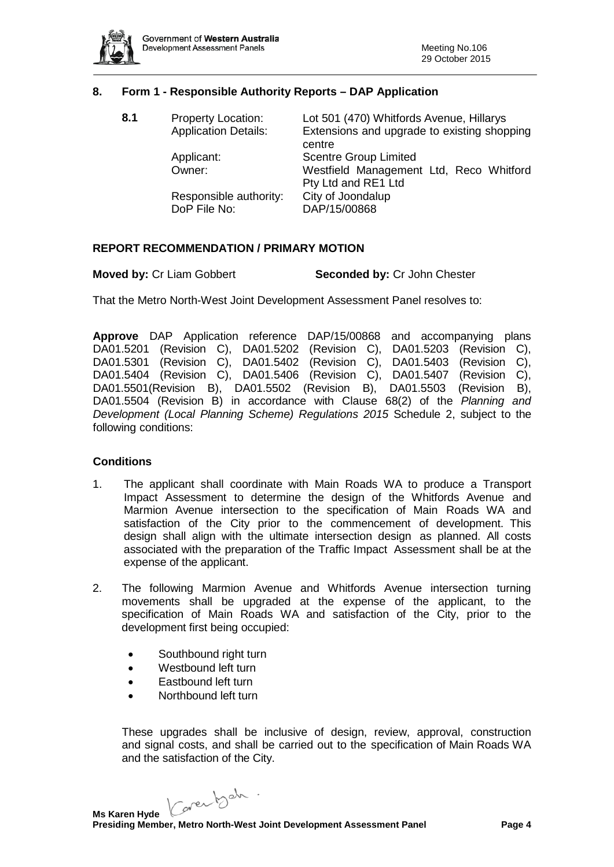

### **8. Form 1 - Responsible Authority Reports – DAP Application**

| 8.1 | <b>Property Location:</b><br><b>Application Details:</b> | Lot 501 (470) Whitfords Avenue, Hillarys<br>Extensions and upgrade to existing shopping<br>centre |
|-----|----------------------------------------------------------|---------------------------------------------------------------------------------------------------|
|     | Applicant:<br>Owner:                                     | <b>Scentre Group Limited</b><br>Westfield Management Ltd, Reco Whitford                           |
|     | Responsible authority:<br>DoP File No:                   | Pty Ltd and RE1 Ltd<br>City of Joondalup<br>DAP/15/00868                                          |

### **REPORT RECOMMENDATION / PRIMARY MOTION**

**Moved by:** Cr Liam Gobbert **Seconded by:** Cr John Chester

That the Metro North-West Joint Development Assessment Panel resolves to:

**Approve** DAP Application reference DAP/15/00868 and accompanying plans DA01.5201 (Revision C), DA01.5202 (Revision C), DA01.5203 (Revision C), DA01.5301 (Revision C), DA01.5402 (Revision C), DA01.5403 (Revision C), DA01.5404 (Revision C), DA01.5406 (Revision C), DA01.5407 (Revision C), DA01.5501(Revision B), DA01.5502 (Revision B), DA01.5503 (Revision B), DA01.5504 (Revision B) in accordance with Clause 68(2) of the *Planning and Development (Local Planning Scheme) Regulations 2015* Schedule 2, subject to the following conditions:

### **Conditions**

- 1. The applicant shall coordinate with Main Roads WA to produce a Transport Impact Assessment to determine the design of the Whitfords Avenue and Marmion Avenue intersection to the specification of Main Roads WA and satisfaction of the City prior to the commencement of development. This design shall align with the ultimate intersection design as planned. All costs associated with the preparation of the Traffic Impact Assessment shall be at the expense of the applicant.
- 2. The following Marmion Avenue and Whitfords Avenue intersection turning movements shall be upgraded at the expense of the applicant, to the specification of Main Roads WA and satisfaction of the City, prior to the development first being occupied:
	- Southbound right turn
	- Westbound left turn
	- Eastbound left turn
	- Northbound left turn

These upgrades shall be inclusive of design, review, approval, construction and signal costs, and shall be carried out to the specification of Main Roads WA and the satisfaction of the City.

Karenbeh.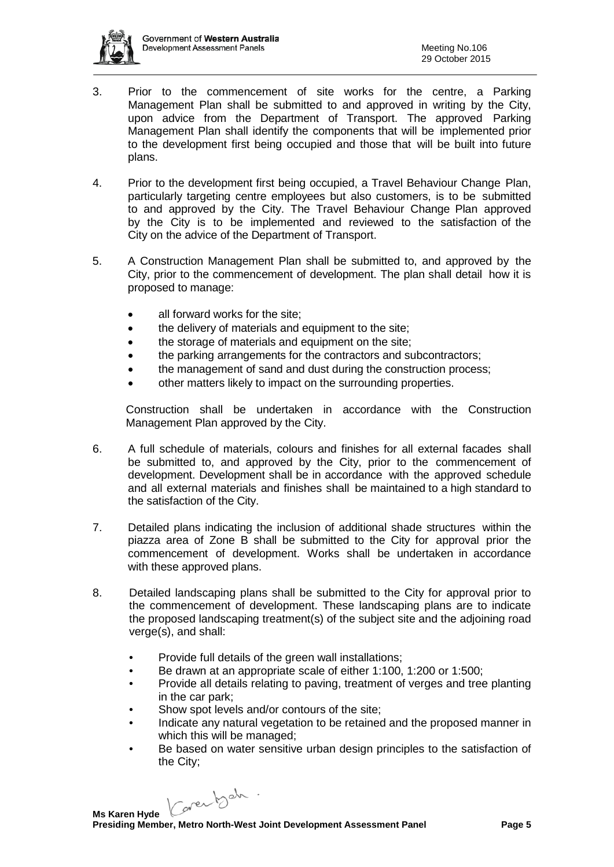

- 3. Prior to the commencement of site works for the centre, a Parking Management Plan shall be submitted to and approved in writing by the City, upon advice from the Department of Transport. The approved Parking Management Plan shall identify the components that will be implemented prior to the development first being occupied and those that will be built into future plans.
- 4. Prior to the development first being occupied, a Travel Behaviour Change Plan, particularly targeting centre employees but also customers, is to be submitted to and approved by the City. The Travel Behaviour Change Plan approved by the City is to be implemented and reviewed to the satisfaction of the City on the advice of the Department of Transport.
- 5. A Construction Management Plan shall be submitted to, and approved by the City, prior to the commencement of development. The plan shall detail how it is proposed to manage:
	- all forward works for the site;
	- the delivery of materials and equipment to the site;
	- the storage of materials and equipment on the site;
	- the parking arrangements for the contractors and subcontractors;
	- the management of sand and dust during the construction process;
	- other matters likely to impact on the surrounding properties.

Construction shall be undertaken in accordance with the Construction Management Plan approved by the City.

- 6. A full schedule of materials, colours and finishes for all external facades shall be submitted to, and approved by the City, prior to the commencement of development. Development shall be in accordance with the approved schedule and all external materials and finishes shall be maintained to a high standard to the satisfaction of the City.
- 7. Detailed plans indicating the inclusion of additional shade structures within the piazza area of Zone B shall be submitted to the City for approval prior the commencement of development. Works shall be undertaken in accordance with these approved plans.
- 8. Detailed landscaping plans shall be submitted to the City for approval prior to the commencement of development. These landscaping plans are to indicate the proposed landscaping treatment(s) of the subject site and the adjoining road verge(s), and shall:
	- Provide full details of the green wall installations;
	- Be drawn at an appropriate scale of either 1:100, 1:200 or 1:500;
	- Provide all details relating to paving, treatment of verges and tree planting in the car park;
	- Show spot levels and/or contours of the site:
	- Indicate any natural vegetation to be retained and the proposed manner in which this will be managed;
	- Be based on water sensitive urban design principles to the satisfaction of the City;

Caren beh.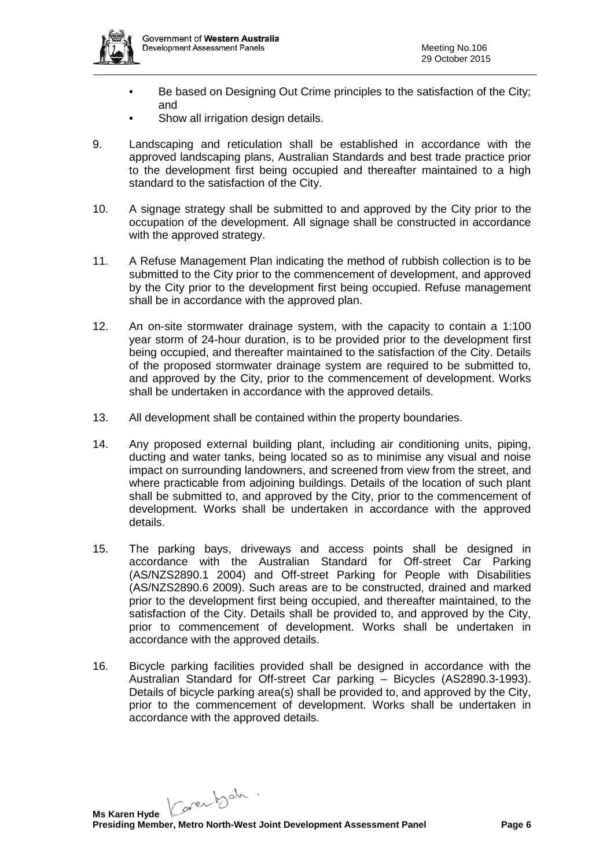

- Be based on Designing Out Crime principles to the satisfaction of the City; and
- Show all irrigation design details.
- 9. Landscaping and reticulation shall be established in accordance with the approved landscaping plans, Australian Standards and best trade practice prior to the development first being occupied and thereafter maintained to a high standard to the satisfaction of the City.
- 10. A signage strategy shall be submitted to and approved by the City prior to the occupation of the development. All signage shall be constructed in accordance with the approved strategy.
- 11. A Refuse Management Plan indicating the method of rubbish collection is to be submitted to the City prior to the commencement of development, and approved by the City prior to the development first being occupied. Refuse management shall be in accordance with the approved plan.
- 12. An on-site stormwater drainage system, with the capacity to contain a 1:100 year storm of 24-hour duration, is to be provided prior to the development first being occupied, and thereafter maintained to the satisfaction of the City. Details of the proposed stormwater drainage system are required to be submitted to, and approved by the City, prior to the commencement of development. Works shall be undertaken in accordance with the approved details.
- 13. All development shall be contained within the property boundaries.
- 14. Any proposed external building plant, including air conditioning units, piping, ducting and water tanks, being located so as to minimise any visual and noise impact on surrounding landowners, and screened from view from the street, and where practicable from adjoining buildings. Details of the location of such plant shall be submitted to, and approved by the City, prior to the commencement of development. Works shall be undertaken in accordance with the approved details.
- 15. The parking bays, driveways and access points shall be designed in accordance with the Australian Standard for Off-street Car Parking (AS/NZS2890.1 2004) and Off-street Parking for People with Disabilities (AS/NZS2890.6 2009). Such areas are to be constructed, drained and marked prior to the development first being occupied, and thereafter maintained, to the satisfaction of the City. Details shall be provided to, and approved by the City, prior to commencement of development. Works shall be undertaken in accordance with the approved details.
- 16. Bicycle parking facilities provided shall be designed in accordance with the Australian Standard for Off-street Car parking – Bicycles (AS2890.3-1993). Details of bicycle parking area(s) shall be provided to, and approved by the City, prior to the commencement of development. Works shall be undertaken in accordance with the approved details.

Karenbeh.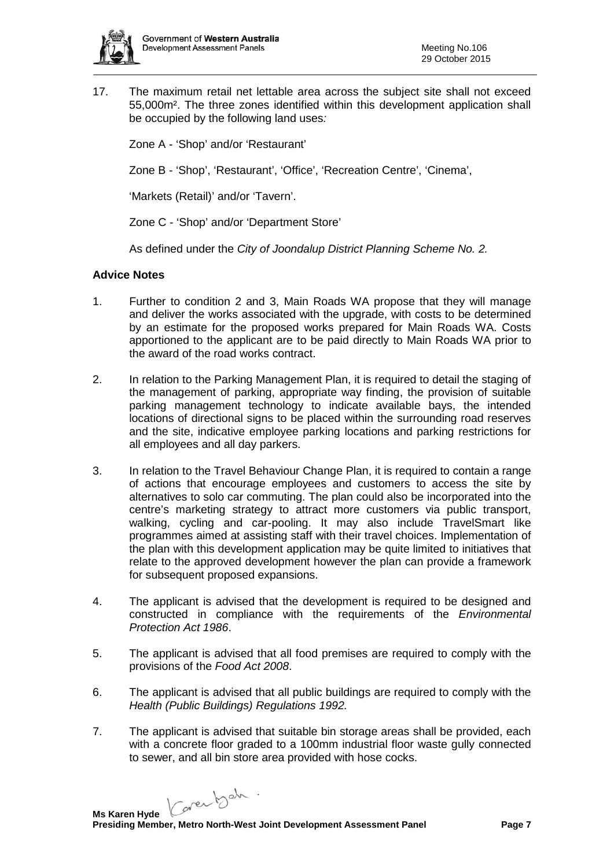

17. The maximum retail net lettable area across the subject site shall not exceed 55,000m². The three zones identified within this development application shall be occupied by the following land uses*:*

Zone A - 'Shop' and/or 'Restaurant'

Zone B - 'Shop', 'Restaurant', 'Office', 'Recreation Centre', 'Cinema',

'Markets (Retail)' and/or 'Tavern'.

Zone C - 'Shop' and/or 'Department Store'

As defined under the *City of Joondalup District Planning Scheme No. 2.*

### **Advice Notes**

- 1. Further to condition 2 and 3, Main Roads WA propose that they will manage and deliver the works associated with the upgrade, with costs to be determined by an estimate for the proposed works prepared for Main Roads WA. Costs apportioned to the applicant are to be paid directly to Main Roads WA prior to the award of the road works contract.
- 2. In relation to the Parking Management Plan, it is required to detail the staging of the management of parking, appropriate way finding, the provision of suitable parking management technology to indicate available bays, the intended locations of directional signs to be placed within the surrounding road reserves and the site, indicative employee parking locations and parking restrictions for all employees and all day parkers.
- 3. In relation to the Travel Behaviour Change Plan, it is required to contain a range of actions that encourage employees and customers to access the site by alternatives to solo car commuting. The plan could also be incorporated into the centre's marketing strategy to attract more customers via public transport, walking, cycling and car-pooling. It may also include TravelSmart like programmes aimed at assisting staff with their travel choices. Implementation of the plan with this development application may be quite limited to initiatives that relate to the approved development however the plan can provide a framework for subsequent proposed expansions.
- 4. The applicant is advised that the development is required to be designed and constructed in compliance with the requirements of the *Environmental Protection Act 1986*.
- 5. The applicant is advised that all food premises are required to comply with the provisions of the *Food Act 2008*.
- 6. The applicant is advised that all public buildings are required to comply with the *Health (Public Buildings) Regulations 1992.*
- 7. The applicant is advised that suitable bin storage areas shall be provided, each with a concrete floor graded to a 100mm industrial floor waste gully connected to sewer, and all bin store area provided with hose cocks.

Karentsch.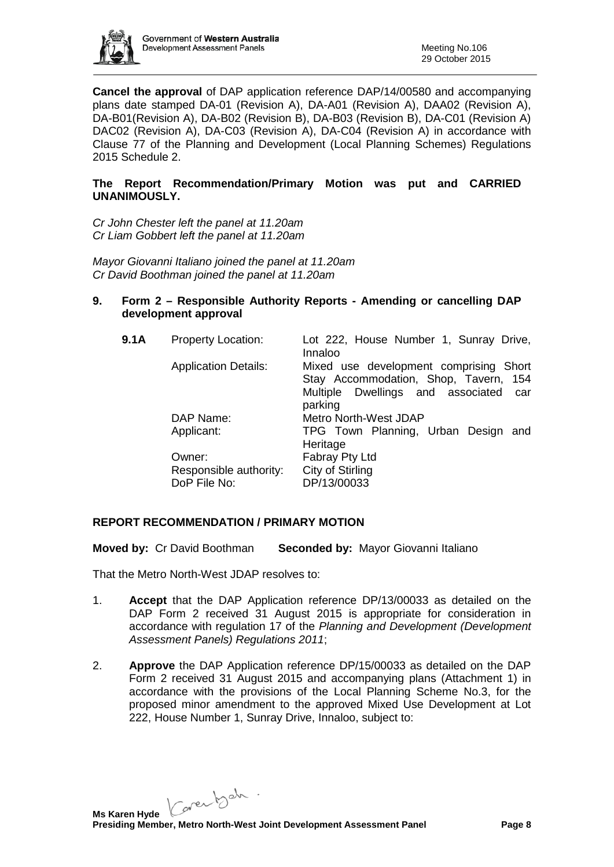

**Cancel the approval** of DAP application reference DAP/14/00580 and accompanying plans date stamped DA-01 (Revision A), DA-A01 (Revision A), DAA02 (Revision A), DA-B01(Revision A), DA-B02 (Revision B), DA-B03 (Revision B), DA-C01 (Revision A) DAC02 (Revision A), DA-C03 (Revision A), DA-C04 (Revision A) in accordance with Clause 77 of the Planning and Development (Local Planning Schemes) Regulations 2015 Schedule 2.

## **The Report Recommendation/Primary Motion was put and CARRIED UNANIMOUSLY.**

*Cr John Chester left the panel at 11.20am Cr Liam Gobbert left the panel at 11.20am*

*Mayor Giovanni Italiano joined the panel at 11.20am Cr David Boothman joined the panel at 11.20am*

### **9. Form 2 – Responsible Authority Reports - Amending or cancelling DAP development approval**

| 9.1A | <b>Property Location:</b>              | Lot 222, House Number 1, Sunray Drive,<br>Innaloo                                                                                      |
|------|----------------------------------------|----------------------------------------------------------------------------------------------------------------------------------------|
|      | <b>Application Details:</b>            | Mixed use development comprising Short<br>Stay Accommodation, Shop, Tavern, 154<br>Multiple Dwellings and associated<br>car<br>parking |
|      | DAP Name:                              | Metro North-West JDAP                                                                                                                  |
|      | Applicant:                             | TPG Town Planning, Urban Design and<br>Heritage                                                                                        |
|      | Owner:                                 | Fabray Pty Ltd                                                                                                                         |
|      | Responsible authority:<br>DoP File No: | City of Stirling<br>DP/13/00033                                                                                                        |

## **REPORT RECOMMENDATION / PRIMARY MOTION**

**Moved by:** Cr David Boothman **Seconded by:** Mayor Giovanni Italiano

That the Metro North-West JDAP resolves to:

- 1. **Accept** that the DAP Application reference DP/13/00033 as detailed on the DAP Form 2 received 31 August 2015 is appropriate for consideration in accordance with regulation 17 of the *Planning and Development (Development Assessment Panels) Regulations 2011*;
- 2. **Approve** the DAP Application reference DP/15/00033 as detailed on the DAP Form 2 received 31 August 2015 and accompanying plans (Attachment 1) in accordance with the provisions of the Local Planning Scheme No.3, for the proposed minor amendment to the approved Mixed Use Development at Lot 222, House Number 1, Sunray Drive, Innaloo, subject to:

Karenbeh.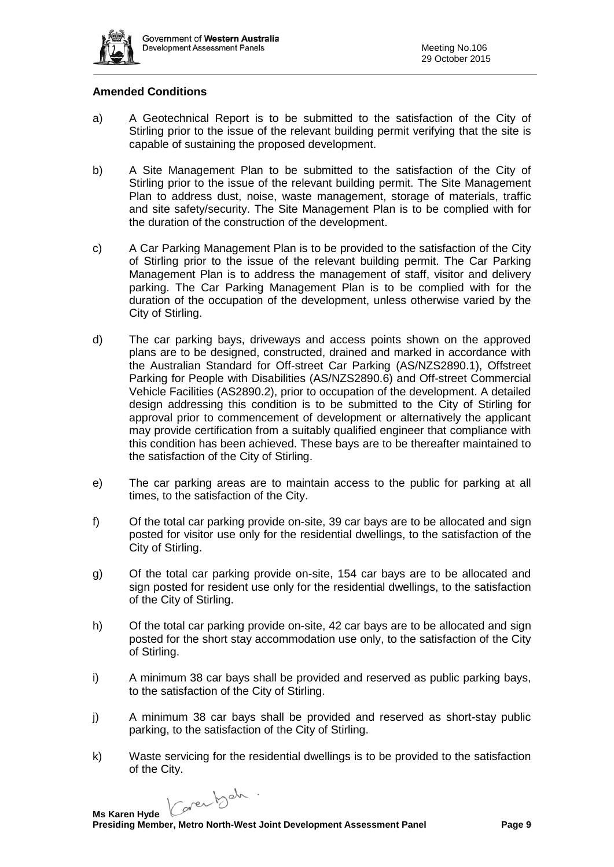

### **Amended Conditions**

- a) A Geotechnical Report is to be submitted to the satisfaction of the City of Stirling prior to the issue of the relevant building permit verifying that the site is capable of sustaining the proposed development.
- b) A Site Management Plan to be submitted to the satisfaction of the City of Stirling prior to the issue of the relevant building permit. The Site Management Plan to address dust, noise, waste management, storage of materials, traffic and site safety/security. The Site Management Plan is to be complied with for the duration of the construction of the development.
- c) A Car Parking Management Plan is to be provided to the satisfaction of the City of Stirling prior to the issue of the relevant building permit. The Car Parking Management Plan is to address the management of staff, visitor and delivery parking. The Car Parking Management Plan is to be complied with for the duration of the occupation of the development, unless otherwise varied by the City of Stirling.
- d) The car parking bays, driveways and access points shown on the approved plans are to be designed, constructed, drained and marked in accordance with the Australian Standard for Off-street Car Parking (AS/NZS2890.1), Offstreet Parking for People with Disabilities (AS/NZS2890.6) and Off-street Commercial Vehicle Facilities (AS2890.2), prior to occupation of the development. A detailed design addressing this condition is to be submitted to the City of Stirling for approval prior to commencement of development or alternatively the applicant may provide certification from a suitably qualified engineer that compliance with this condition has been achieved. These bays are to be thereafter maintained to the satisfaction of the City of Stirling.
- e) The car parking areas are to maintain access to the public for parking at all times, to the satisfaction of the City.
- f) Of the total car parking provide on-site, 39 car bays are to be allocated and sign posted for visitor use only for the residential dwellings, to the satisfaction of the City of Stirling.
- g) Of the total car parking provide on-site, 154 car bays are to be allocated and sign posted for resident use only for the residential dwellings, to the satisfaction of the City of Stirling.
- h) Of the total car parking provide on-site, 42 car bays are to be allocated and sign posted for the short stay accommodation use only, to the satisfaction of the City of Stirling.
- i) A minimum 38 car bays shall be provided and reserved as public parking bays, to the satisfaction of the City of Stirling.
- j) A minimum 38 car bays shall be provided and reserved as short-stay public parking, to the satisfaction of the City of Stirling.
- k) Waste servicing for the residential dwellings is to be provided to the satisfaction of the City.

Caren beh.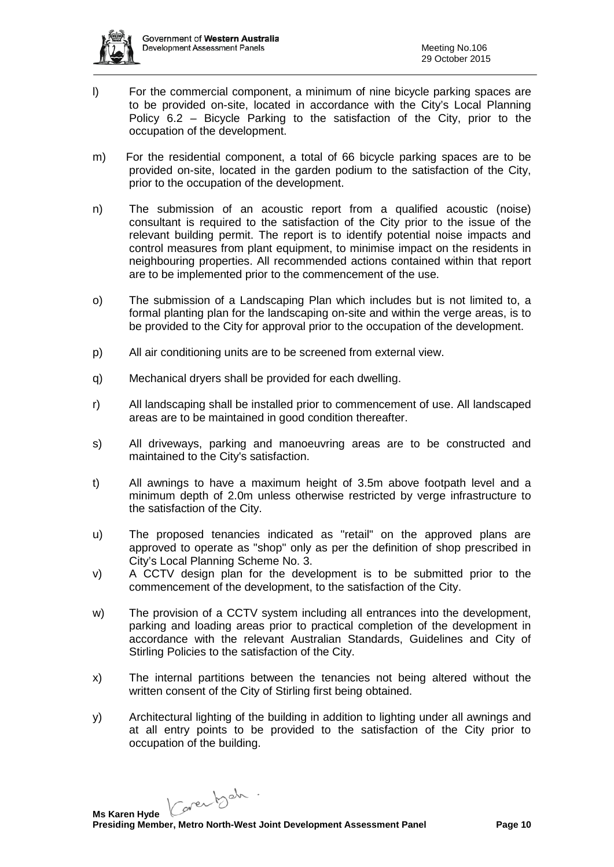

- l) For the commercial component, a minimum of nine bicycle parking spaces are to be provided on-site, located in accordance with the City's Local Planning Policy 6.2 – Bicycle Parking to the satisfaction of the City, prior to the occupation of the development.
- m) For the residential component, a total of 66 bicycle parking spaces are to be provided on-site, located in the garden podium to the satisfaction of the City, prior to the occupation of the development.
- n) The submission of an acoustic report from a qualified acoustic (noise) consultant is required to the satisfaction of the City prior to the issue of the relevant building permit. The report is to identify potential noise impacts and control measures from plant equipment, to minimise impact on the residents in neighbouring properties. All recommended actions contained within that report are to be implemented prior to the commencement of the use.
- o) The submission of a Landscaping Plan which includes but is not limited to, a formal planting plan for the landscaping on-site and within the verge areas, is to be provided to the City for approval prior to the occupation of the development.
- p) All air conditioning units are to be screened from external view.
- q) Mechanical dryers shall be provided for each dwelling.
- r) All landscaping shall be installed prior to commencement of use. All landscaped areas are to be maintained in good condition thereafter.
- s) All driveways, parking and manoeuvring areas are to be constructed and maintained to the City's satisfaction.
- t) All awnings to have a maximum height of 3.5m above footpath level and a minimum depth of 2.0m unless otherwise restricted by verge infrastructure to the satisfaction of the City.
- u) The proposed tenancies indicated as "retail" on the approved plans are approved to operate as "shop" only as per the definition of shop prescribed in City's Local Planning Scheme No. 3.
- v) A CCTV design plan for the development is to be submitted prior to the commencement of the development, to the satisfaction of the City.
- w) The provision of a CCTV system including all entrances into the development, parking and loading areas prior to practical completion of the development in accordance with the relevant Australian Standards, Guidelines and City of Stirling Policies to the satisfaction of the City.
- x) The internal partitions between the tenancies not being altered without the written consent of the City of Stirling first being obtained.
- y) Architectural lighting of the building in addition to lighting under all awnings and at all entry points to be provided to the satisfaction of the City prior to occupation of the building.

Karenbeh.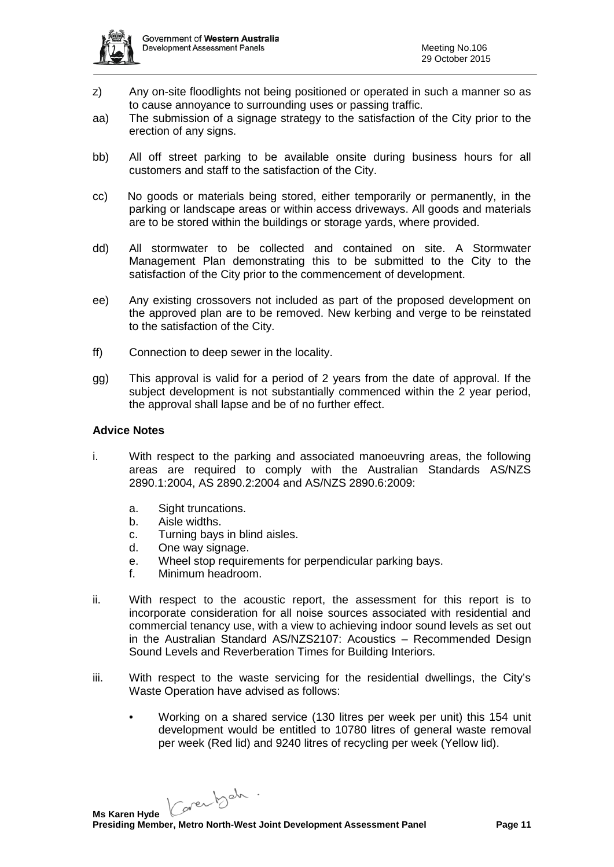

- z) Any on-site floodlights not being positioned or operated in such a manner so as to cause annoyance to surrounding uses or passing traffic.
- aa) The submission of a signage strategy to the satisfaction of the City prior to the erection of any signs.
- bb) All off street parking to be available onsite during business hours for all customers and staff to the satisfaction of the City.
- cc) No goods or materials being stored, either temporarily or permanently, in the parking or landscape areas or within access driveways. All goods and materials are to be stored within the buildings or storage yards, where provided.
- dd) All stormwater to be collected and contained on site. A Stormwater Management Plan demonstrating this to be submitted to the City to the satisfaction of the City prior to the commencement of development.
- ee) Any existing crossovers not included as part of the proposed development on the approved plan are to be removed. New kerbing and verge to be reinstated to the satisfaction of the City.
- ff) Connection to deep sewer in the locality.
- gg) This approval is valid for a period of 2 years from the date of approval. If the subject development is not substantially commenced within the 2 year period, the approval shall lapse and be of no further effect.

### **Advice Notes**

- i. With respect to the parking and associated manoeuvring areas, the following areas are required to comply with the Australian Standards AS/NZS 2890.1:2004, AS 2890.2:2004 and AS/NZS 2890.6:2009:
	- a. Sight truncations.
	- b. Aisle widths.
	- c. Turning bays in blind aisles.
	- d. One way signage.
	- e. Wheel stop requirements for perpendicular parking bays.
	- f. Minimum headroom.
- ii. With respect to the acoustic report, the assessment for this report is to incorporate consideration for all noise sources associated with residential and commercial tenancy use, with a view to achieving indoor sound levels as set out in the Australian Standard AS/NZS2107: Acoustics – Recommended Design Sound Levels and Reverberation Times for Building Interiors.
- iii. With respect to the waste servicing for the residential dwellings, the City's Waste Operation have advised as follows:
	- Working on a shared service (130 litres per week per unit) this 154 unit development would be entitled to 10780 litres of general waste removal per week (Red lid) and 9240 litres of recycling per week (Yellow lid).

Karenbeh.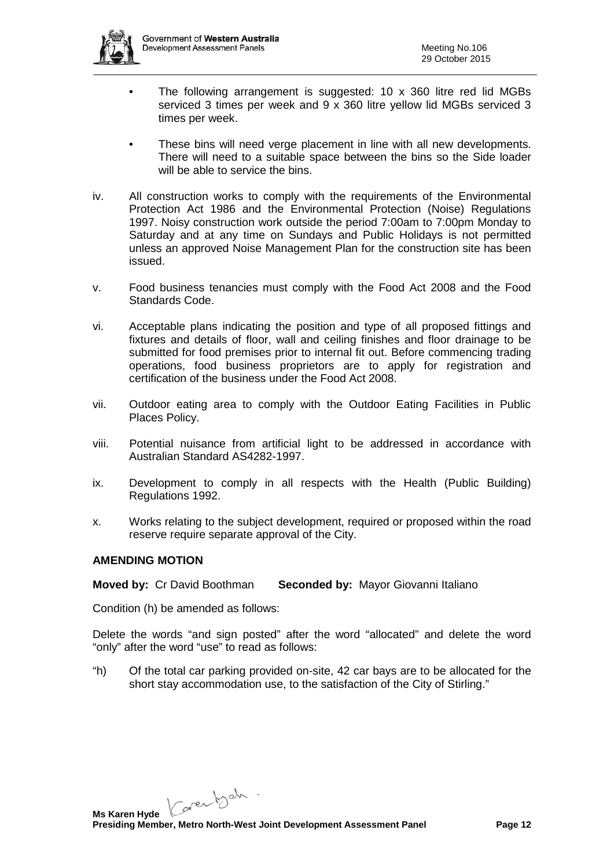

- The following arrangement is suggested: 10 x 360 litre red lid MGBs serviced 3 times per week and 9 x 360 litre yellow lid MGBs serviced 3 times per week.
- These bins will need verge placement in line with all new developments. There will need to a suitable space between the bins so the Side loader will be able to service the bins.
- iv. All construction works to comply with the requirements of the Environmental Protection Act 1986 and the Environmental Protection (Noise) Regulations 1997. Noisy construction work outside the period 7:00am to 7:00pm Monday to Saturday and at any time on Sundays and Public Holidays is not permitted unless an approved Noise Management Plan for the construction site has been issued.
- v. Food business tenancies must comply with the Food Act 2008 and the Food Standards Code.
- vi. Acceptable plans indicating the position and type of all proposed fittings and fixtures and details of floor, wall and ceiling finishes and floor drainage to be submitted for food premises prior to internal fit out. Before commencing trading operations, food business proprietors are to apply for registration and certification of the business under the Food Act 2008.
- vii. Outdoor eating area to comply with the Outdoor Eating Facilities in Public Places Policy.
- viii. Potential nuisance from artificial light to be addressed in accordance with Australian Standard AS4282-1997.
- ix. Development to comply in all respects with the Health (Public Building) Regulations 1992.
- x. Works relating to the subject development, required or proposed within the road reserve require separate approval of the City.

## **AMENDING MOTION**

**Moved by:** Cr David Boothman **Seconded by:** Mayor Giovanni Italiano

Condition (h) be amended as follows:

Delete the words "and sign posted" after the word "allocated" and delete the word "only" after the word "use" to read as follows:

"h) Of the total car parking provided on-site, 42 car bays are to be allocated for the short stay accommodation use, to the satisfaction of the City of Stirling."

Karentsch.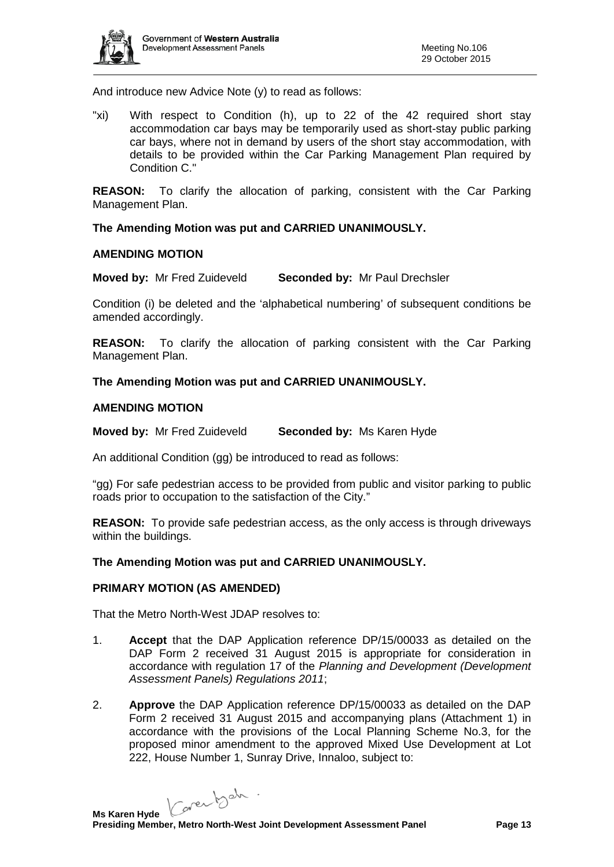

And introduce new Advice Note (y) to read as follows:

"xi) With respect to Condition (h), up to 22 of the 42 required short stay accommodation car bays may be temporarily used as short-stay public parking car bays, where not in demand by users of the short stay accommodation, with details to be provided within the Car Parking Management Plan required by Condition C."

**REASON:** To clarify the allocation of parking, consistent with the Car Parking Management Plan.

**The Amending Motion was put and CARRIED UNANIMOUSLY.**

#### **AMENDING MOTION**

**Moved by:** Mr Fred Zuideveld **Seconded by:** Mr Paul Drechsler

Condition (i) be deleted and the 'alphabetical numbering' of subsequent conditions be amended accordingly.

**REASON:** To clarify the allocation of parking consistent with the Car Parking Management Plan.

**The Amending Motion was put and CARRIED UNANIMOUSLY.**

### **AMENDING MOTION**

**Moved by:** Mr Fred Zuideveld **Seconded by:** Ms Karen Hyde

An additional Condition (gg) be introduced to read as follows:

"gg) For safe pedestrian access to be provided from public and visitor parking to public roads prior to occupation to the satisfaction of the City."

**REASON:** To provide safe pedestrian access, as the only access is through driveways within the buildings.

### **The Amending Motion was put and CARRIED UNANIMOUSLY.**

### **PRIMARY MOTION (AS AMENDED)**

That the Metro North-West JDAP resolves to:

- 1. **Accept** that the DAP Application reference DP/15/00033 as detailed on the DAP Form 2 received 31 August 2015 is appropriate for consideration in accordance with regulation 17 of the *Planning and Development (Development Assessment Panels) Regulations 2011*;
- 2. **Approve** the DAP Application reference DP/15/00033 as detailed on the DAP Form 2 received 31 August 2015 and accompanying plans (Attachment 1) in accordance with the provisions of the Local Planning Scheme No.3, for the proposed minor amendment to the approved Mixed Use Development at Lot 222, House Number 1, Sunray Drive, Innaloo, subject to:

Carentsch.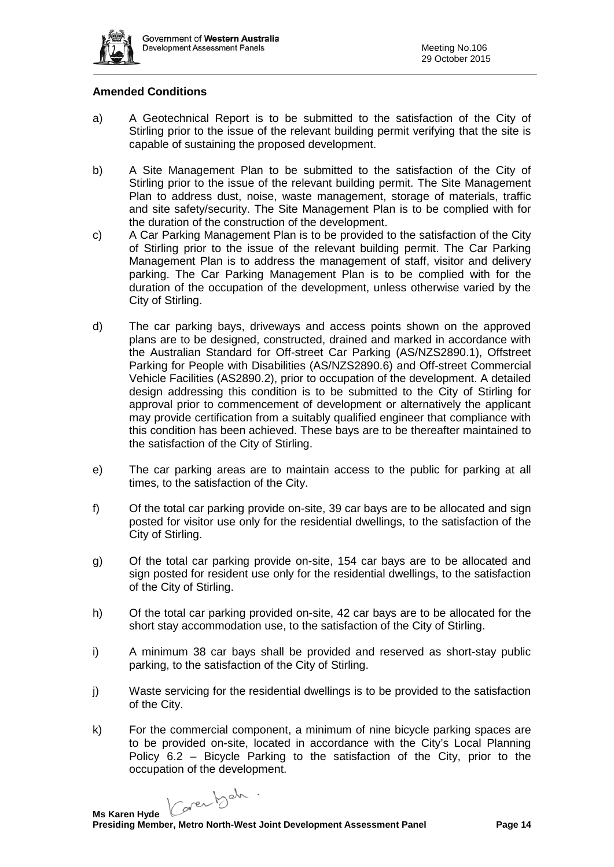

### **Amended Conditions**

- a) A Geotechnical Report is to be submitted to the satisfaction of the City of Stirling prior to the issue of the relevant building permit verifying that the site is capable of sustaining the proposed development.
- b) A Site Management Plan to be submitted to the satisfaction of the City of Stirling prior to the issue of the relevant building permit. The Site Management Plan to address dust, noise, waste management, storage of materials, traffic and site safety/security. The Site Management Plan is to be complied with for the duration of the construction of the development.
- c) A Car Parking Management Plan is to be provided to the satisfaction of the City of Stirling prior to the issue of the relevant building permit. The Car Parking Management Plan is to address the management of staff, visitor and delivery parking. The Car Parking Management Plan is to be complied with for the duration of the occupation of the development, unless otherwise varied by the City of Stirling.
- d) The car parking bays, driveways and access points shown on the approved plans are to be designed, constructed, drained and marked in accordance with the Australian Standard for Off-street Car Parking (AS/NZS2890.1), Offstreet Parking for People with Disabilities (AS/NZS2890.6) and Off-street Commercial Vehicle Facilities (AS2890.2), prior to occupation of the development. A detailed design addressing this condition is to be submitted to the City of Stirling for approval prior to commencement of development or alternatively the applicant may provide certification from a suitably qualified engineer that compliance with this condition has been achieved. These bays are to be thereafter maintained to the satisfaction of the City of Stirling.
- e) The car parking areas are to maintain access to the public for parking at all times, to the satisfaction of the City.
- f) Of the total car parking provide on-site, 39 car bays are to be allocated and sign posted for visitor use only for the residential dwellings, to the satisfaction of the City of Stirling.
- g) Of the total car parking provide on-site, 154 car bays are to be allocated and sign posted for resident use only for the residential dwellings, to the satisfaction of the City of Stirling.
- h) Of the total car parking provided on-site, 42 car bays are to be allocated for the short stay accommodation use, to the satisfaction of the City of Stirling.
- i) A minimum 38 car bays shall be provided and reserved as short-stay public parking, to the satisfaction of the City of Stirling.
- j) Waste servicing for the residential dwellings is to be provided to the satisfaction of the City.
- k) For the commercial component, a minimum of nine bicycle parking spaces are to be provided on-site, located in accordance with the City's Local Planning Policy 6.2 – Bicycle Parking to the satisfaction of the City, prior to the occupation of the development.

Caren beh.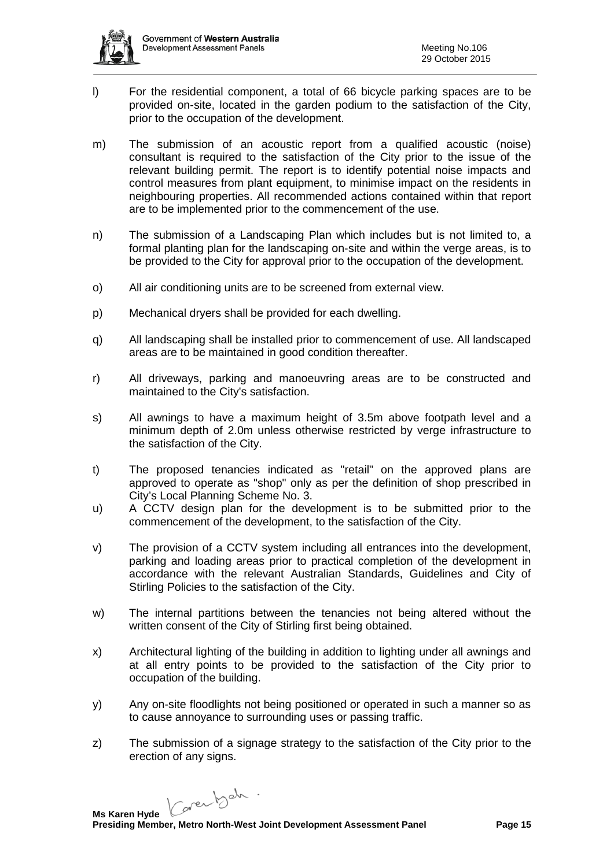

- l) For the residential component, a total of 66 bicycle parking spaces are to be provided on-site, located in the garden podium to the satisfaction of the City, prior to the occupation of the development.
- m) The submission of an acoustic report from a qualified acoustic (noise) consultant is required to the satisfaction of the City prior to the issue of the relevant building permit. The report is to identify potential noise impacts and control measures from plant equipment, to minimise impact on the residents in neighbouring properties. All recommended actions contained within that report are to be implemented prior to the commencement of the use.
- n) The submission of a Landscaping Plan which includes but is not limited to, a formal planting plan for the landscaping on-site and within the verge areas, is to be provided to the City for approval prior to the occupation of the development.
- o) All air conditioning units are to be screened from external view.
- p) Mechanical dryers shall be provided for each dwelling.
- q) All landscaping shall be installed prior to commencement of use. All landscaped areas are to be maintained in good condition thereafter.
- r) All driveways, parking and manoeuvring areas are to be constructed and maintained to the City's satisfaction.
- s) All awnings to have a maximum height of 3.5m above footpath level and a minimum depth of 2.0m unless otherwise restricted by verge infrastructure to the satisfaction of the City.
- t) The proposed tenancies indicated as "retail" on the approved plans are approved to operate as "shop" only as per the definition of shop prescribed in City's Local Planning Scheme No. 3.
- u) A CCTV design plan for the development is to be submitted prior to the commencement of the development, to the satisfaction of the City.
- v) The provision of a CCTV system including all entrances into the development, parking and loading areas prior to practical completion of the development in accordance with the relevant Australian Standards, Guidelines and City of Stirling Policies to the satisfaction of the City.
- w) The internal partitions between the tenancies not being altered without the written consent of the City of Stirling first being obtained.
- x) Architectural lighting of the building in addition to lighting under all awnings and at all entry points to be provided to the satisfaction of the City prior to occupation of the building.
- y) Any on-site floodlights not being positioned or operated in such a manner so as to cause annoyance to surrounding uses or passing traffic.
- z) The submission of a signage strategy to the satisfaction of the City prior to the erection of any signs.

Karentsch.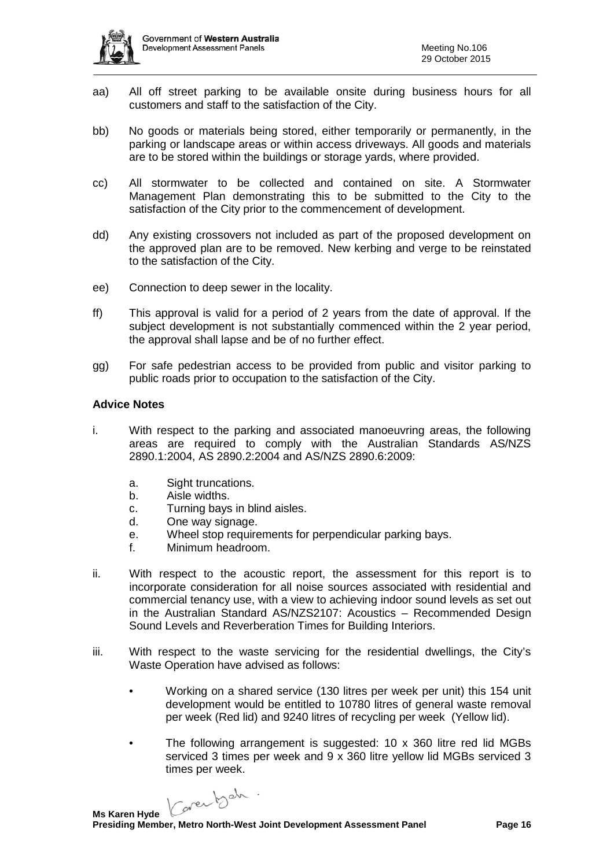

- aa) All off street parking to be available onsite during business hours for all customers and staff to the satisfaction of the City.
- bb) No goods or materials being stored, either temporarily or permanently, in the parking or landscape areas or within access driveways. All goods and materials are to be stored within the buildings or storage yards, where provided.
- cc) All stormwater to be collected and contained on site. A Stormwater Management Plan demonstrating this to be submitted to the City to the satisfaction of the City prior to the commencement of development.
- dd) Any existing crossovers not included as part of the proposed development on the approved plan are to be removed. New kerbing and verge to be reinstated to the satisfaction of the City.
- ee) Connection to deep sewer in the locality.
- ff) This approval is valid for a period of 2 years from the date of approval. If the subject development is not substantially commenced within the 2 year period, the approval shall lapse and be of no further effect.
- gg) For safe pedestrian access to be provided from public and visitor parking to public roads prior to occupation to the satisfaction of the City.

### **Advice Notes**

- i. With respect to the parking and associated manoeuvring areas, the following areas are required to comply with the Australian Standards AS/NZS 2890.1:2004, AS 2890.2:2004 and AS/NZS 2890.6:2009:
	- a. Sight truncations.
	- b. Aisle widths.
	- c. Turning bays in blind aisles.
	- d. One way signage.
	- e. Wheel stop requirements for perpendicular parking bays.
	- f. Minimum headroom.
- ii. With respect to the acoustic report, the assessment for this report is to incorporate consideration for all noise sources associated with residential and commercial tenancy use, with a view to achieving indoor sound levels as set out in the Australian Standard AS/NZS2107: Acoustics – Recommended Design Sound Levels and Reverberation Times for Building Interiors.
- iii. With respect to the waste servicing for the residential dwellings, the City's Waste Operation have advised as follows:
	- Working on a shared service (130 litres per week per unit) this 154 unit development would be entitled to 10780 litres of general waste removal per week (Red lid) and 9240 litres of recycling per week (Yellow lid).
	- The following arrangement is suggested: 10 x 360 litre red lid MGBs serviced 3 times per week and 9 x 360 litre yellow lid MGBs serviced 3 times per week.

Caren bah.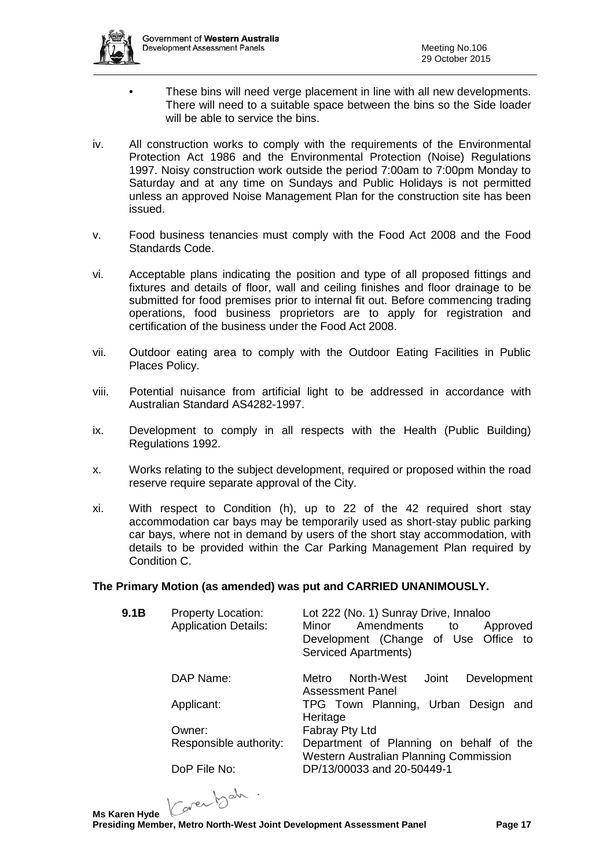

- These bins will need verge placement in line with all new developments. There will need to a suitable space between the bins so the Side loader will be able to service the bins.
- iv. All construction works to comply with the requirements of the Environmental Protection Act 1986 and the Environmental Protection (Noise) Regulations 1997. Noisy construction work outside the period 7:00am to 7:00pm Monday to Saturday and at any time on Sundays and Public Holidays is not permitted unless an approved Noise Management Plan for the construction site has been issued.
- v. Food business tenancies must comply with the Food Act 2008 and the Food Standards Code.
- vi. Acceptable plans indicating the position and type of all proposed fittings and fixtures and details of floor, wall and ceiling finishes and floor drainage to be submitted for food premises prior to internal fit out. Before commencing trading operations, food business proprietors are to apply for registration and certification of the business under the Food Act 2008.
- vii. Outdoor eating area to comply with the Outdoor Eating Facilities in Public Places Policy.
- viii. Potential nuisance from artificial light to be addressed in accordance with Australian Standard AS4282-1997.
- ix. Development to comply in all respects with the Health (Public Building) Regulations 1992.
- x. Works relating to the subject development, required or proposed within the road reserve require separate approval of the City.
- xi. With respect to Condition (h), up to 22 of the 42 required short stay accommodation car bays may be temporarily used as short-stay public parking car bays, where not in demand by users of the short stay accommodation, with details to be provided within the Car Parking Management Plan required by Condition C.

### **The Primary Motion (as amended) was put and CARRIED UNANIMOUSLY.**

| 9.1B | <b>Property Location:</b><br><b>Application Details:</b> | Lot 222 (No. 1) Sunray Drive, Innaloo<br>Amendments<br>Minor<br>Approved<br>to<br>Development (Change of Use Office to<br><b>Serviced Apartments)</b> |
|------|----------------------------------------------------------|-------------------------------------------------------------------------------------------------------------------------------------------------------|
|      | DAP Name:                                                | North-West Joint<br>Development<br>Metro<br>Assessment Panel                                                                                          |
|      | Applicant:                                               | TPG Town Planning, Urban Design and<br>Heritage                                                                                                       |
|      | Owner:                                                   | Fabray Pty Ltd                                                                                                                                        |
|      | Responsible authority:                                   | Department of Planning on behalf of the<br>Western Australian Planning Commission                                                                     |
|      | DoP File No:                                             | DP/13/00033 and 20-50449-1                                                                                                                            |

Karentsch.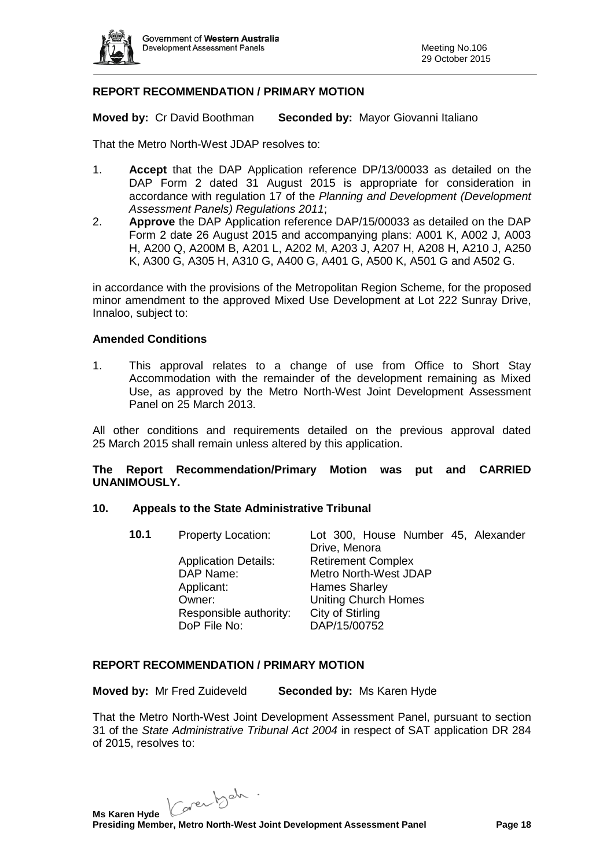

## **REPORT RECOMMENDATION / PRIMARY MOTION**

**Moved by:** Cr David Boothman **Seconded by:** Mayor Giovanni Italiano

That the Metro North-West JDAP resolves to:

- 1. **Accept** that the DAP Application reference DP/13/00033 as detailed on the DAP Form 2 dated 31 August 2015 is appropriate for consideration in accordance with regulation 17 of the *Planning and Development (Development Assessment Panels) Regulations 2011*;
- 2. **Approve** the DAP Application reference DAP/15/00033 as detailed on the DAP Form 2 date 26 August 2015 and accompanying plans: A001 K, A002 J, A003 H, A200 Q, A200M B, A201 L, A202 M, A203 J, A207 H, A208 H, A210 J, A250 K, A300 G, A305 H, A310 G, A400 G, A401 G, A500 K, A501 G and A502 G.

in accordance with the provisions of the Metropolitan Region Scheme, for the proposed minor amendment to the approved Mixed Use Development at Lot 222 Sunray Drive, Innaloo, subject to:

### **Amended Conditions**

1. This approval relates to a change of use from Office to Short Stay Accommodation with the remainder of the development remaining as Mixed Use, as approved by the Metro North-West Joint Development Assessment Panel on 25 March 2013.

All other conditions and requirements detailed on the previous approval dated 25 March 2015 shall remain unless altered by this application.

**The Report Recommendation/Primary Motion was put and CARRIED UNANIMOUSLY.**

### **10. Appeals to the State Administrative Tribunal**

| 10.1<br><b>Property Location:</b><br>Lot 300, House Number 45, Alexander<br>Drive, Menora |  |
|-------------------------------------------------------------------------------------------|--|
| <b>Retirement Complex</b><br><b>Application Details:</b>                                  |  |
| Metro North-West JDAP<br>DAP Name:                                                        |  |
| Applicant:<br><b>Hames Sharley</b>                                                        |  |
| <b>Uniting Church Homes</b><br>Owner:                                                     |  |
| City of Stirling<br>Responsible authority:                                                |  |
| DAP/15/00752<br>DoP File No:                                                              |  |

### **REPORT RECOMMENDATION / PRIMARY MOTION**

**Moved by:** Mr Fred Zuideveld **Seconded by:** Ms Karen Hyde

That the Metro North-West Joint Development Assessment Panel, pursuant to section 31 of the *State Administrative Tribunal Act 2004* in respect of SAT application DR 284 of 2015, resolves to:

Karentsch.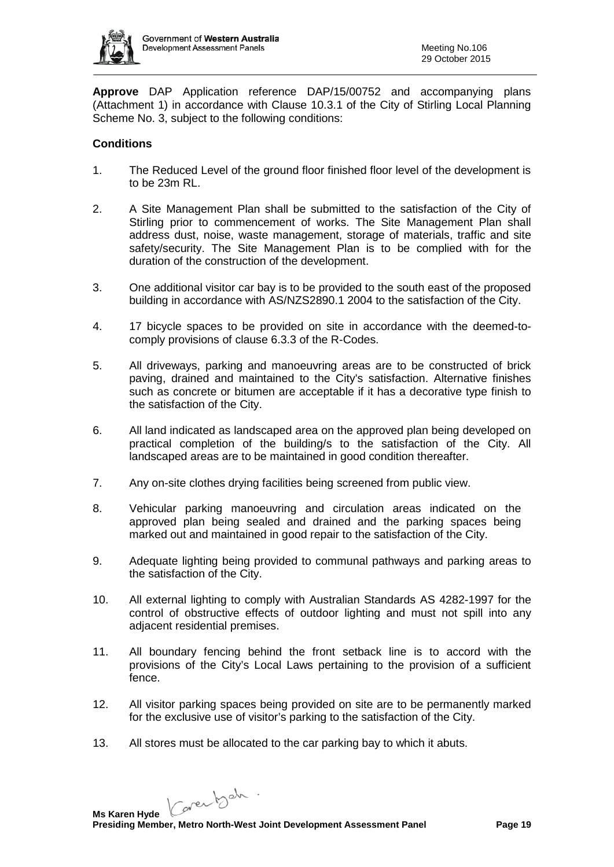

**Approve** DAP Application reference DAP/15/00752 and accompanying plans (Attachment 1) in accordance with Clause 10.3.1 of the City of Stirling Local Planning Scheme No. 3, subject to the following conditions:

## **Conditions**

- 1. The Reduced Level of the ground floor finished floor level of the development is to be 23m RL.
- 2. A Site Management Plan shall be submitted to the satisfaction of the City of Stirling prior to commencement of works. The Site Management Plan shall address dust, noise, waste management, storage of materials, traffic and site safety/security. The Site Management Plan is to be complied with for the duration of the construction of the development.
- 3. One additional visitor car bay is to be provided to the south east of the proposed building in accordance with AS/NZS2890.1 2004 to the satisfaction of the City.
- 4. 17 bicycle spaces to be provided on site in accordance with the deemed-tocomply provisions of clause 6.3.3 of the R-Codes.
- 5. All driveways, parking and manoeuvring areas are to be constructed of brick paving, drained and maintained to the City's satisfaction. Alternative finishes such as concrete or bitumen are acceptable if it has a decorative type finish to the satisfaction of the City.
- 6. All land indicated as landscaped area on the approved plan being developed on practical completion of the building/s to the satisfaction of the City. All landscaped areas are to be maintained in good condition thereafter.
- 7. Any on-site clothes drying facilities being screened from public view.
- 8. Vehicular parking manoeuvring and circulation areas indicated on the approved plan being sealed and drained and the parking spaces being marked out and maintained in good repair to the satisfaction of the City.
- 9. Adequate lighting being provided to communal pathways and parking areas to the satisfaction of the City.
- 10. All external lighting to comply with Australian Standards AS 4282-1997 for the control of obstructive effects of outdoor lighting and must not spill into any adjacent residential premises.
- 11. All boundary fencing behind the front setback line is to accord with the provisions of the City's Local Laws pertaining to the provision of a sufficient fence.
- 12. All visitor parking spaces being provided on site are to be permanently marked for the exclusive use of visitor's parking to the satisfaction of the City.
- 13. All stores must be allocated to the car parking bay to which it abuts.

Karentsch.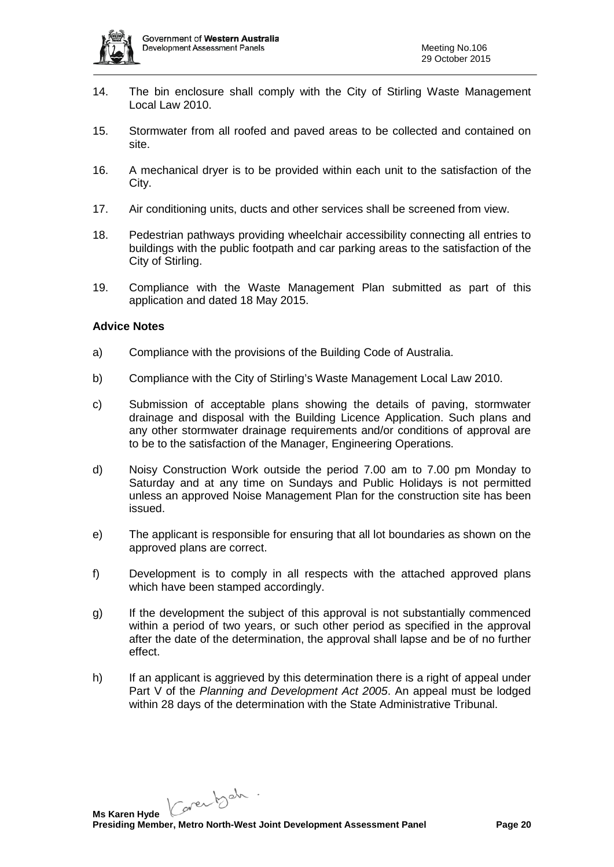

- 14. The bin enclosure shall comply with the City of Stirling Waste Management Local Law 2010.
- 15. Stormwater from all roofed and paved areas to be collected and contained on site.
- 16. A mechanical dryer is to be provided within each unit to the satisfaction of the City.
- 17. Air conditioning units, ducts and other services shall be screened from view.
- 18. Pedestrian pathways providing wheelchair accessibility connecting all entries to buildings with the public footpath and car parking areas to the satisfaction of the City of Stirling.
- 19. Compliance with the Waste Management Plan submitted as part of this application and dated 18 May 2015.

### **Advice Notes**

- a) Compliance with the provisions of the Building Code of Australia.
- b) Compliance with the City of Stirling's Waste Management Local Law 2010.
- c) Submission of acceptable plans showing the details of paving, stormwater drainage and disposal with the Building Licence Application. Such plans and any other stormwater drainage requirements and/or conditions of approval are to be to the satisfaction of the Manager, Engineering Operations.
- d) Noisy Construction Work outside the period 7.00 am to 7.00 pm Monday to Saturday and at any time on Sundays and Public Holidays is not permitted unless an approved Noise Management Plan for the construction site has been issued.
- e) The applicant is responsible for ensuring that all lot boundaries as shown on the approved plans are correct.
- f) Development is to comply in all respects with the attached approved plans which have been stamped accordingly.
- g) If the development the subject of this approval is not substantially commenced within a period of two years, or such other period as specified in the approval after the date of the determination, the approval shall lapse and be of no further effect.
- h) If an applicant is aggrieved by this determination there is a right of appeal under Part V of the *Planning and Development Act 2005*. An appeal must be lodged within 28 days of the determination with the State Administrative Tribunal.

Carentsch.